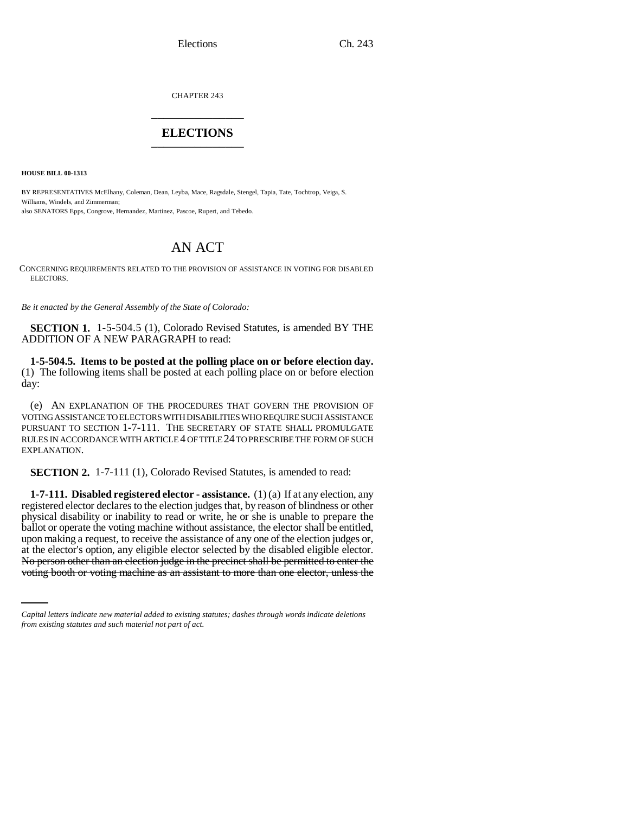CHAPTER 243 \_\_\_\_\_\_\_\_\_\_\_\_\_\_\_

## **ELECTIONS** \_\_\_\_\_\_\_\_\_\_\_\_\_\_\_

**HOUSE BILL 00-1313** 

BY REPRESENTATIVES McElhany, Coleman, Dean, Leyba, Mace, Ragsdale, Stengel, Tapia, Tate, Tochtrop, Veiga, S. Williams, Windels, and Zimmerman; also SENATORS Epps, Congrove, Hernandez, Martinez, Pascoe, Rupert, and Tebedo.

## AN ACT

CONCERNING REQUIREMENTS RELATED TO THE PROVISION OF ASSISTANCE IN VOTING FOR DISABLED ELECTORS.

*Be it enacted by the General Assembly of the State of Colorado:*

**SECTION 1.** 1-5-504.5 (1), Colorado Revised Statutes, is amended BY THE ADDITION OF A NEW PARAGRAPH to read:

**1-5-504.5. Items to be posted at the polling place on or before election day.** (1) The following items shall be posted at each polling place on or before election day:

(e) AN EXPLANATION OF THE PROCEDURES THAT GOVERN THE PROVISION OF VOTING ASSISTANCE TO ELECTORS WITH DISABILITIES WHO REQUIRE SUCH ASSISTANCE PURSUANT TO SECTION 1-7-111. THE SECRETARY OF STATE SHALL PROMULGATE RULES IN ACCORDANCE WITH ARTICLE 4 OF TITLE 24 TO PRESCRIBE THE FORM OF SUCH EXPLANATION.

**SECTION 2.** 1-7-111 (1), Colorado Revised Statutes, is amended to read:

at the elector's option, any eligible elector selected by the disabled eligible elector. **1-7-111. Disabled registered elector - assistance.** (1) (a) If at any election, any registered elector declares to the election judges that, by reason of blindness or other physical disability or inability to read or write, he or she is unable to prepare the ballot or operate the voting machine without assistance, the elector shall be entitled, upon making a request, to receive the assistance of any one of the election judges or, No person other than an election judge in the precinct shall be permitted to enter the voting booth or voting machine as an assistant to more than one elector, unless the

*Capital letters indicate new material added to existing statutes; dashes through words indicate deletions from existing statutes and such material not part of act.*